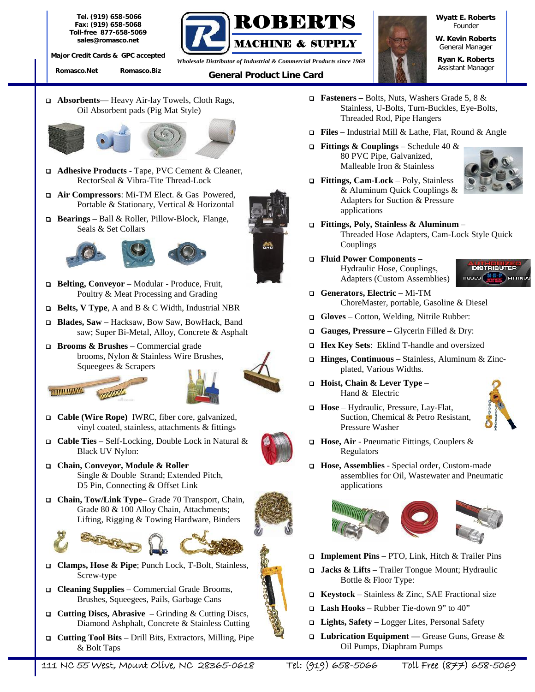**Tel. (919) 658-5066 Fax: (919) 658-5068 Toll-free 877-658-5069** *sales@romasco.net*

**Major Credit Cards & GPC accepted**

**Romasco.Net Romasco.Biz**



*Assistant Manager General Product Line Card Wholesale Distributor of Industrial & Commercial Products since 1969*

**Wyatt E. Roberts** *Founder*

**W. Kevin Roberts** *General Manager*

**Ryan K. Roberts**

**Absorbents**— Heavy Air-lay Towels, Cloth Rags, Oil Absorbent pads (Pig Mat Style)



- **Adhesive Products** Tape, PVC Cement & Cleaner, RectorSeal & Vibra-Tite Thread-Lock
- **Air Compressors**: Mi-TM Elect. & Gas Powered, Portable & Stationary, Vertical & Horizontal
- **Bearings** Ball & Roller, Pillow-Block, Flange, Seals & Set Collars





- **Belting, Conveyor** Modular Produce, Fruit, Poultry & Meat Processing and Grading
- **Belts, V Type**, A and B & C Width, Industrial NBR
- **Blades, Saw** Hacksaw, Bow Saw, BowHack, Band saw; Super Bi-Metal, Alloy, Concrete & Asphalt
- **Brooms & Brushes** Commercial grade brooms, Nylon & Stainless Wire Brushes, Squeegees & Scrapers





- **Cable (Wire Rope)** IWRC, fiber core, galvanized, vinyl coated, stainless, attachments & fittings
- **Cable Ties** Self-Locking, Double Lock in Natural & Black UV Nylon:
- **Chain, Conveyor, Module & Roller** Single & Double Strand; Extended Pitch, D5 Pin, Connecting & Offset Link
- **Chain, Tow/Link Type** Grade 70 Transport, Chain, Grade 80 & 100 Alloy Chain, Attachments; Lifting, Rigging & Towing Hardware, Binders



- **Clamps, Hose & Pipe**; Punch Lock, T-Bolt, Stainless, Screw-type
- **Cleaning Supplies** Commercial Grade Brooms, Brushes, Squeegees, Pails, Garbage Cans
- **Cutting Discs, Abrasive** Grinding & Cutting Discs, Diamond Ashphalt, Concrete & Stainless Cutting
- **Cutting Tool Bits** Drill Bits, Extractors, Milling, Pipe & Bolt Taps
- **Fasteners** Bolts, Nuts, Washers Grade 5, 8 & Stainless, U-Bolts, Turn-Buckles, Eye-Bolts, Threaded Rod, Pipe Hangers
- **Files** Industrial Mill & Lathe, Flat, Round & Angle
- **Fittings & Couplings** Schedule 40 & 80 PVC Pipe, Galvanized, Malleable Iron & Stainless



- **Fittings, Cam-Lock** Poly, Stainless & Aluminum Quick Couplings & Adapters for Suction & Pressure applications
- **Fittings, Poly, Stainless & Aluminum** Threaded Hose Adapters, Cam-Lock Style Quick Couplings
- **Fluid Power Components** Hydraulic Hose, Couplings, Adapters (Custom Assemblies) **Hoses** (



- **Generators, Electric** Mi-TM ChoreMaster, portable, Gasoline & Diesel
- **Gloves** Cotton, Welding, Nitrile Rubber:
- **Gauges, Pressure** Glycerin Filled & Dry:
- **Hex Key Sets**: Eklind T-handle and oversized
- **Hinges, Continuous** Stainless, Aluminum & Zinc plated, Various Widths.
- **Hoist, Chain & Lever Type** Hand & Electric



- **Hose** Hydraulic, Pressure, Lay-Flat, Suction, Chemical & Petro Resistant, Pressure Washer
- **Hose, Air** Pneumatic Fittings, Couplers & Regulators
- **Hose, Assemblies** Special order, Custom-made assemblies for Oil, Wastewater and Pneumatic applications



- **Implement Pins** PTO, Link, Hitch & Trailer Pins
- **Jacks & Lifts** Trailer Tongue Mount; Hydraulic Bottle & Floor Type:
- **Keystock** Stainless & Zinc, SAE Fractional size
- **Lash Hooks** Rubber Tie-down 9" to 40"
- **Lights, Safety** Logger Lites, Personal Safety
- **Lubrication Equipment —** Grease Guns, Grease & Oil Pumps, Diaphram Pumps